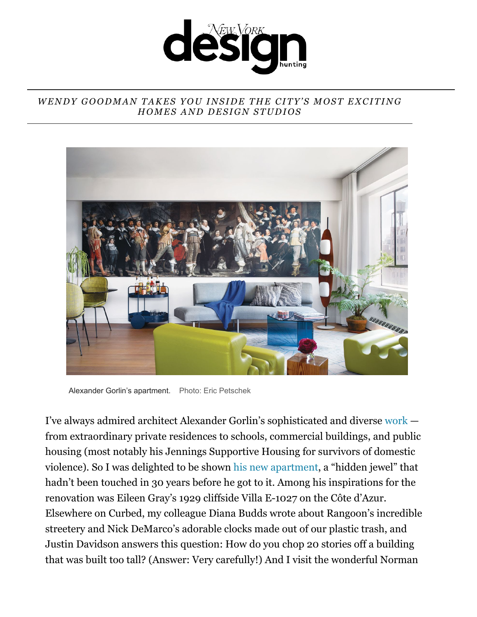

## *WENDY GOODMAN TAKES YOU INSIDE THE CITY'S MOST EXCITING HOMES AND DESIGN STUDIOS*



Alexander Gorlin's apartment. Photo: Eric Petschek

[I've always admired architect Alexander Gorlin's sophisticated and diverse work](https://link.nymag.com/click/22183958.10281/aHR0cHM6Ly93d3cuY3VyYmVkLmNvbS9hcnRpY2xlL3RvdXItYXJjaGl0ZWN0LWFsZXhhbmRlci1nb3JsaW4tc3R1ZGlvLXdlc3QtdmlsbGFnZS5odG1s/56ec7bda487ccd1e248b7165B81b179a4)  from extraordinary private residences to schools, commercial buildings, and public housing (most notably his Jennings Supportive Housing for survivors of domestic violence). So I was delighted to be shown [his new apartment,](https://link.nymag.com/click/22183958.10281/aHR0cHM6Ly93d3cuY3VyYmVkLmNvbS9hcnRpY2xlL3RvdXItYXJjaGl0ZWN0LWFsZXhhbmRlci1nb3JsaW4tc3R1ZGlvLXdlc3QtdmlsbGFnZS5odG1s/56ec7bda487ccd1e248b7165D81b179a4) a "hidden jewel" that hadn't been touched in 30 years before he got to it. Among his inspirations for the renovation was Eileen Gray's 1929 cliffside Villa E-1027 on the Côte d'Azur. Elsewhere on Curbed, my colleague Diana Budds wrote about Rangoon's incredible streetery and Nick DeMarco's adorable clocks made out of our plastic trash, and Justin Davidson answers this question: How do you chop 20 stories off a building that was built too tall? (Answer: Very carefully!) And I visit the wonderful Norman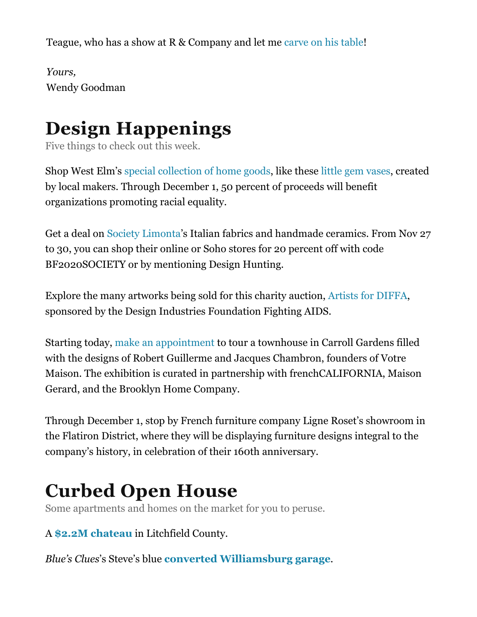Teague, who has a show at R & Company and let me [carve on his table!](https://link.nymag.com/click/22183958.10281/aHR0cHM6Ly93d3cuY3VyYmVkLmNvbS8yMDIwLzExL25vcm1hbi10ZWFndWUtd2FudHMteW91LXRvLWNhcnZlLXlvdXItbmFtZS1pbi1oaXMtdGFibGVzLmh0bWw/56ec7bda487ccd1e248b7165Beafa27ca)

*Yours,* Wendy Goodman

## **Design Happenings**

Five things to check out this week.

Shop West Elm's [special collection of home goods](https://link.nymag.com/click/22183958.10281/aHR0cHM6Ly93d3cud2VzdGVsbS5jb20vc2hvcC9jb2xsYWJvcmF0aW9ucy9sb2NhbC8_Y21fcmU9ZWRpdG9yaWFsbmF2LV8tQWxsTG9jYWwtXy1zbG90NUU/56ec7bda487ccd1e248b7165B12d9bfc8), like these [little gem vases](https://link.nymag.com/click/22183958.10281/aHR0cHM6Ly93d3cud2VzdGVsbS5jb20vcHJvZHVjdHMvbGNsLWdhcnktYm9ka2VyLWxpdHRsZS1nZW0tdmFzZS10YWxsLWQ4MjU3Lz9wa2V5PWNsb2NhbA/56ec7bda487ccd1e248b7165Ba1c03153), created by local makers. Through December 1, 50 percent of proceeds will benefit organizations promoting racial equality.

Get a deal on [Society Limonta'](https://link.nymag.com/click/22183958.10281/aHR0cHM6Ly9ldS5zb2NpZXR5bGltb250YS5jb20v/56ec7bda487ccd1e248b7165B1ffc94e5)s Italian fabrics and handmade ceramics. From Nov 27 to 30, you can shop their online or Soho stores for 20 percent off with code BF2020SOCIETY or by mentioning Design Hunting.

Explore the many artworks being sold for this charity auction, [Artists for DIFFA,](https://link.nymag.com/click/22183958.10281/aHR0cHM6Ly9lLmdpdmVzbWFydC5jb20vZXZlbnRzL2ppei8/56ec7bda487ccd1e248b7165Bbd6bc9f3) sponsored by the Design Industries Foundation Fighting AIDS.

Starting today, [make an appointment](https://link.nymag.com/click/22183958.10281/aHR0cHM6Ly90aGVicm9va2x5bmhvbWVjb21wYW55LmNvbS8zMzAtc2Fja2V0dC8/56ec7bda487ccd1e248b7165B61435478) to tour a townhouse in Carroll Gardens filled with the designs of Robert Guillerme and Jacques Chambron, founders of Votre Maison. The exhibition is curated in partnership with frenchCALIFORNIA, Maison Gerard, and the Brooklyn Home Company.

Through December 1, stop by French furniture company Ligne Roset's showroom in the Flatiron District, where they will be displaying furniture designs integral to the company's history, in celebration of their 160th anniversary.

## **Curbed Open House**

Some apartments and homes on the market for you to peruse.

A **\$2.2M chateau** in Litchfield County.

*Blue's Clues*'s Steve's blue **converted Williamsburg garage**.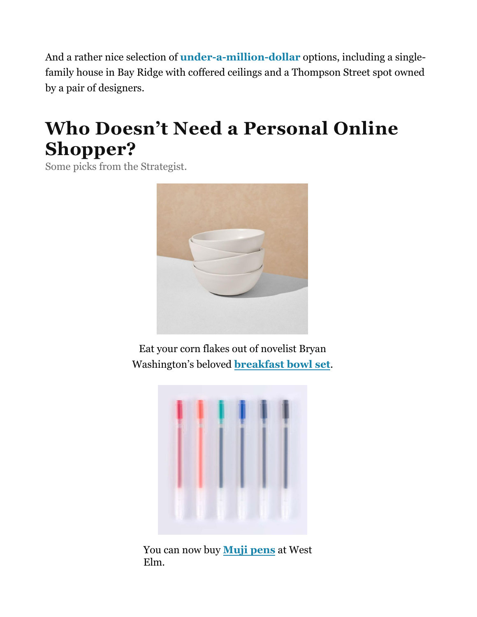And a rather nice selection of **[under-a-million-dollar](https://link.nymag.com/click/22183958.10281/aHR0cHM6Ly93d3cuY3VyYmVkLmNvbS9hcnRpY2xlL255Yy1ob21lcy1mb3Itc2FsZS1hZmZvcmRhYmxlLXVuZGVyLTEtbWlsbGlvbi5odG1s/56ec7bda487ccd1e248b7165B2d141a9a)** options, including a singlefamily house in Bay Ridge with coffered ceilings and a Thompson Street spot owned by a pair of designers.

## **Who Doesn'[t Need a Personal On](https://link.nymag.com/click/22183958.10281/aHR0cDovL3JzLXN0cmlwZS5ueW1hZy5jb20vc3RyaXBlL3JlZGlyZWN0P2NzX2VtYWlsPXN0YWN5QHN0YWN5bWNsYXVnaGxpbi5jb20mY3Nfc3RyaXBlaWQ9MTQ3NDgmY3Nfc2VuZGlkPTIyMTgzOTU4JmNzX29mZnNldD0wJmNzX2VzcD1zYWlsdGhydQ/56ec7bda487ccd1e248b7165Bf8a4c7f7)line Shopper?**

Some picks from the Strategist.



Eat your corn flakes out of novelist Bryan Washington's beloved **breakfast bowl set**.



You can now buy **Muji pens** at West Elm.